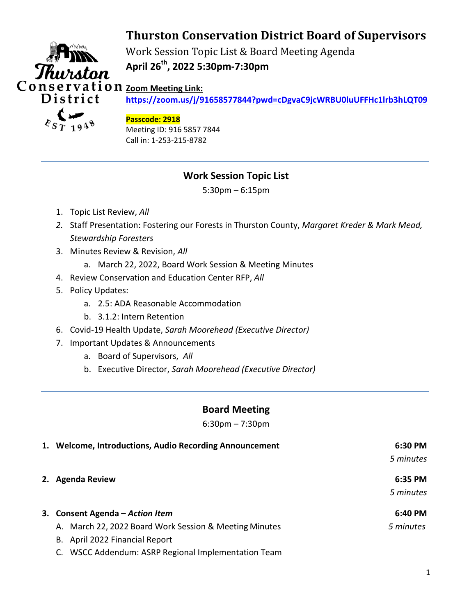# **Thurston Conservation District Board of Supervisors**



Work Session Topic List & Board Meeting Agenda **April 26th, 2022 5:30pm-7:30pm**

**<https://zoom.us/j/91658577844?pwd=cDgvaC9jcWRBU0luUFFHc1lrb3hLQT09>**

#### **Passcode: 2918**

Meeting ID: 916 5857 7844 Call in: 1-253-215-8782

## **Work Session Topic List**

5:30pm – 6:15pm

- 1. Topic List Review, *All*
- *2.* Staff Presentation: Fostering our Forests in Thurston County, *Margaret Kreder & Mark Mead, Stewardship Foresters*
- 3. Minutes Review & Revision, *All*
	- a. March 22, 2022, Board Work Session & Meeting Minutes
- 4. Review Conservation and Education Center RFP, *All*
- 5. Policy Updates:
	- a. 2.5: ADA Reasonable Accommodation
	- b. 3.1.2: Intern Retention
- 6. Covid-19 Health Update, *Sarah Moorehead (Executive Director)*
- 7. Important Updates & Announcements
	- a. Board of Supervisors, *All*
	- b. Executive Director, *Sarah Moorehead (Executive Director)*

### **Board Meeting**

6:30pm – 7:30pm

| 1. Welcome, Introductions, Audio Recording Announcement | 6:30 PM   |
|---------------------------------------------------------|-----------|
|                                                         | 5 minutes |
| 2. Agenda Review                                        | 6:35 PM   |
|                                                         | 5 minutes |
| 3. Consent Agenda - Action Item                         | 6:40 PM   |
| A. March 22, 2022 Board Work Session & Meeting Minutes  | 5 minutes |
| B. April 2022 Financial Report                          |           |
| WSCC Addendum: ASRP Regional Implementation Team        |           |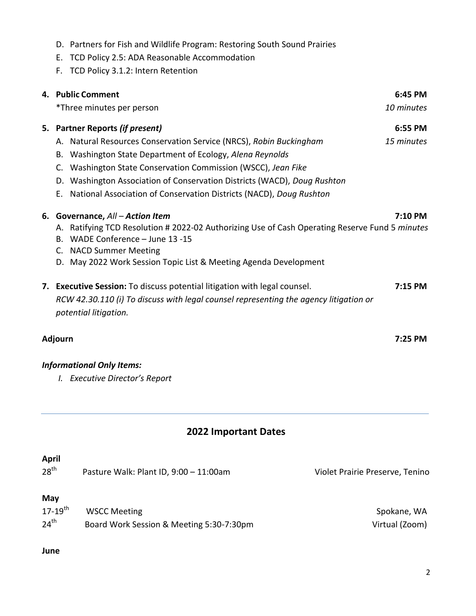- D. Partners for Fish and Wildlife Program: Restoring South Sound Prairies
- E. TCD Policy 2.5: ADA Reasonable Accommodation
- F. TCD Policy 3.1.2: Intern Retention

| 4. Public Comment                                                                                     | 6:45 PM    |
|-------------------------------------------------------------------------------------------------------|------------|
| *Three minutes per person                                                                             | 10 minutes |
| 5. Partner Reports (if present)                                                                       | 6:55 PM    |
| A. Natural Resources Conservation Service (NRCS), Robin Buckingham                                    | 15 minutes |
| Washington State Department of Ecology, Alena Reynolds<br>В.                                          |            |
| Washington State Conservation Commission (WSCC), Jean Fike<br>C.                                      |            |
| D. Washington Association of Conservation Districts (WACD), Doug Rushton                              |            |
| National Association of Conservation Districts (NACD), Doug Rushton<br>Е.                             |            |
| 6. Governance, All - Action Item                                                                      | 7:10 PM    |
| A. Ratifying TCD Resolution # 2022-02 Authorizing Use of Cash Operating Reserve Fund 5 <i>minutes</i> |            |
| B. WADE Conference - June 13 -15                                                                      |            |
| C. NACD Summer Meeting                                                                                |            |
| D. May 2022 Work Session Topic List & Meeting Agenda Development                                      |            |
| 7. Executive Session: To discuss potential litigation with legal counsel.                             | $7:15$ PM  |
| RCW 42.30.110 (i) To discuss with legal counsel representing the agency litigation or                 |            |
| potential litigation.                                                                                 |            |
| Adjourn                                                                                               | $7:25$ PM  |
|                                                                                                       |            |

### *Informational Only Items:*

*I. Executive Director's Report*

#### **2022 Important Dates**

| <b>April</b><br>28 <sup>th</sup> | Pasture Walk: Plant ID, 9:00 - 11:00am   | Violet Prairie Preserve, Tenino |
|----------------------------------|------------------------------------------|---------------------------------|
| May<br>$17 - 19$ <sup>th</sup>   | <b>WSCC Meeting</b>                      | Spokane, WA                     |
| $24^{\text{th}}$                 | Board Work Session & Meeting 5:30-7:30pm | Virtual (Zoom)                  |

#### **June**